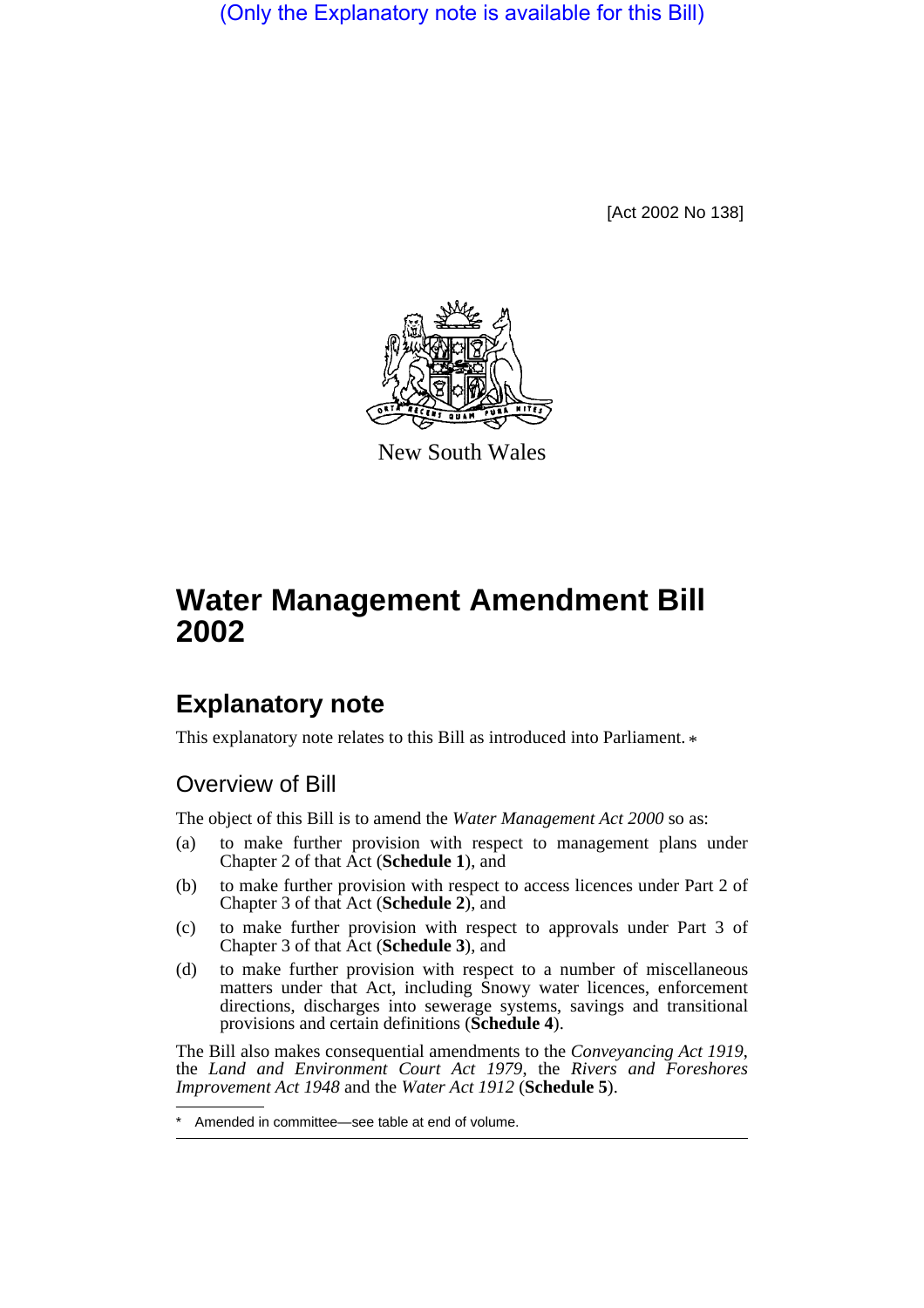(Only the Explanatory note is available for this Bill)

[Act 2002 No 138]



New South Wales

# **Water Management Amendment Bill 2002**

# **Explanatory note**

This explanatory note relates to this Bill as introduced into Parliament.  $*$ 

# Overview of Bill

The object of this Bill is to amend the *Water Management Act 2000* so as:

- (a) to make further provision with respect to management plans under Chapter 2 of that Act (**Schedule 1**), and
- (b) to make further provision with respect to access licences under Part 2 of Chapter 3 of that Act (**Schedule 2**), and
- (c) to make further provision with respect to approvals under Part 3 of Chapter 3 of that Act (**Schedule 3**), and
- (d) to make further provision with respect to a number of miscellaneous matters under that Act, including Snowy water licences, enforcement directions, discharges into sewerage systems, savings and transitional provisions and certain definitions (**Schedule 4**).

The Bill also makes consequential amendments to the *Conveyancing Act 1919*, the *Land and Environment Court Act 1979*, the *Rivers and Foreshores Improvement Act 1948* and the *Water Act 1912* (**Schedule 5**).

Amended in committee—see table at end of volume.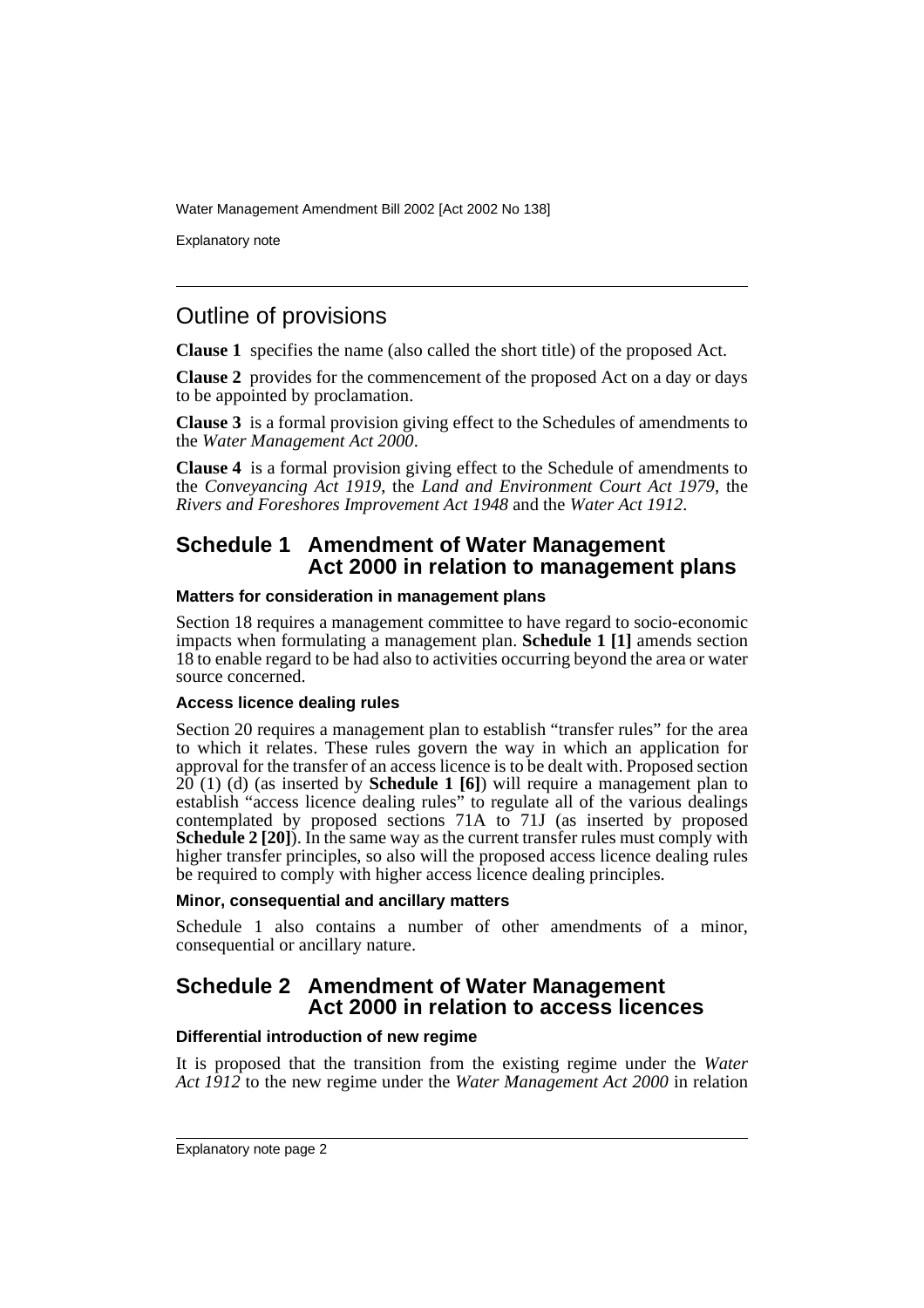Explanatory note

# Outline of provisions

**Clause 1** specifies the name (also called the short title) of the proposed Act.

**Clause 2** provides for the commencement of the proposed Act on a day or days to be appointed by proclamation.

**Clause 3** is a formal provision giving effect to the Schedules of amendments to the *Water Management Act 2000*.

**Clause 4** is a formal provision giving effect to the Schedule of amendments to the *Conveyancing Act 1919*, the *Land and Environment Court Act 1979*, the *Rivers and Foreshores Improvement Act 1948* and the *Water Act 1912*.

### **Schedule 1 Amendment of Water Management Act 2000 in relation to management plans**

### **Matters for consideration in management plans**

Section 18 requires a management committee to have regard to socio-economic impacts when formulating a management plan. **Schedule 1 [1]** amends section 18 to enable regard to be had also to activities occurring beyond the area or water source concerned.

### **Access licence dealing rules**

Section 20 requires a management plan to establish "transfer rules" for the area to which it relates. These rules govern the way in which an application for approval for the transfer of an access licence is to be dealt with. Proposed section  $20(1)$  (d) (as inserted by **Schedule 1 [6]**) will require a management plan to establish "access licence dealing rules" to regulate all of the various dealings contemplated by proposed sections 71A to 71J (as inserted by proposed **Schedule 2 [20]).** In the same way as the current transfer rules must comply with higher transfer principles, so also will the proposed access licence dealing rules be required to comply with higher access licence dealing principles.

### **Minor, consequential and ancillary matters**

Schedule 1 also contains a number of other amendments of a minor, consequential or ancillary nature.

### **Schedule 2 Amendment of Water Management Act 2000 in relation to access licences**

### **Differential introduction of new regime**

It is proposed that the transition from the existing regime under the *Water Act 1912* to the new regime under the *Water Management Act 2000* in relation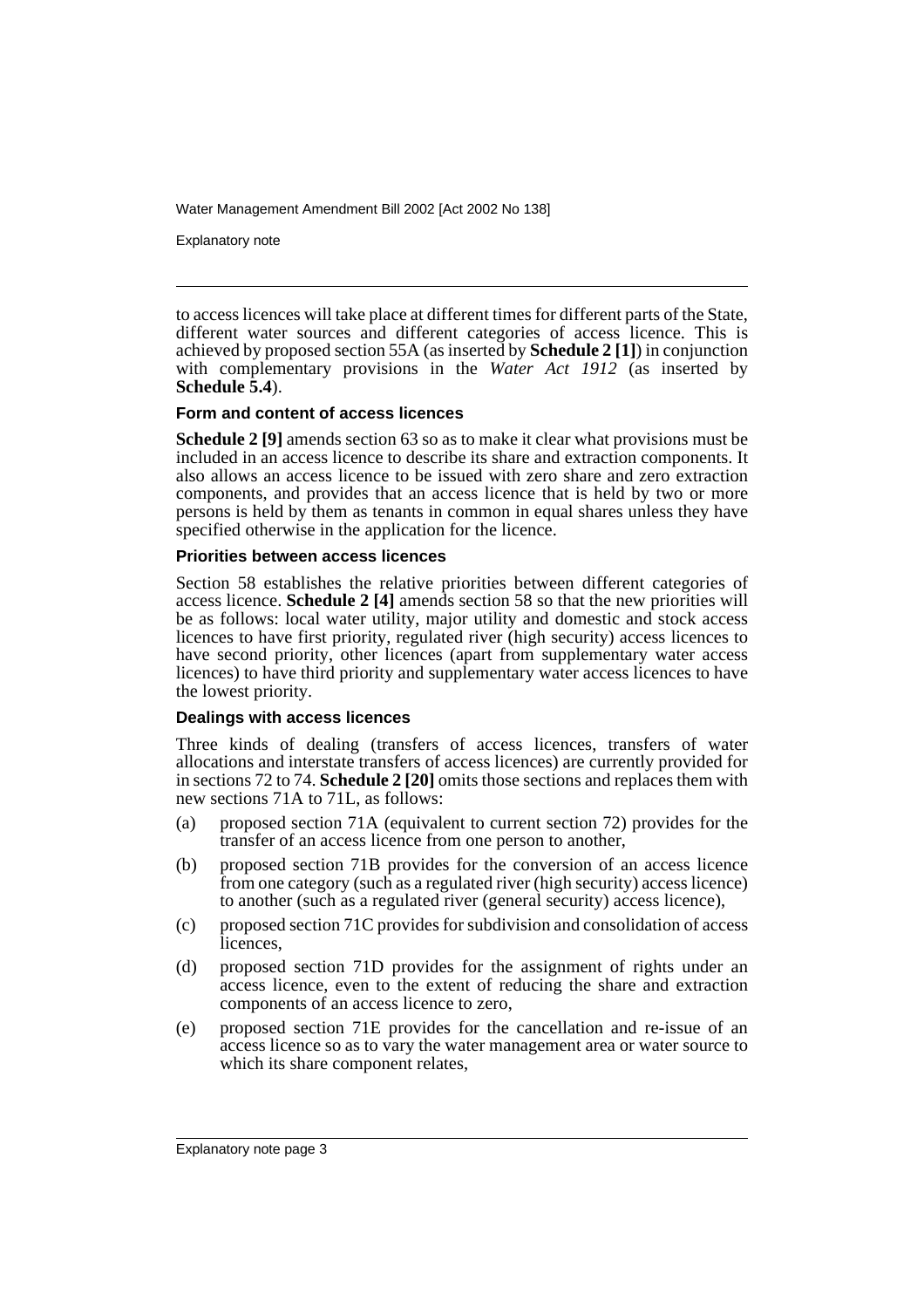Explanatory note

to access licences will take place at different times for different parts of the State, different water sources and different categories of access licence. This is achieved by proposed section 55A (as inserted by **Schedule 2 [1]**) in conjunction with complementary provisions in the *Water Act 1912* (as inserted by **Schedule 5.4**).

### **Form and content of access licences**

**Schedule 2 [9]** amends section 63 so as to make it clear what provisions must be included in an access licence to describe its share and extraction components. It also allows an access licence to be issued with zero share and zero extraction components, and provides that an access licence that is held by two or more persons is held by them as tenants in common in equal shares unless they have specified otherwise in the application for the licence.

### **Priorities between access licences**

Section 58 establishes the relative priorities between different categories of access licence. **Schedule 2 [4]** amends section 58 so that the new priorities will be as follows: local water utility, major utility and domestic and stock access licences to have first priority, regulated river (high security) access licences to have second priority, other licences (apart from supplementary water access licences) to have third priority and supplementary water access licences to have the lowest priority.

### **Dealings with access licences**

Three kinds of dealing (transfers of access licences, transfers of water allocations and interstate transfers of access licences) are currently provided for in sections 72 to 74. **Schedule 2 [20]** omits those sections and replaces them with new sections 71A to 71L, as follows:

- (a) proposed section 71A (equivalent to current section 72) provides for the transfer of an access licence from one person to another,
- (b) proposed section 71B provides for the conversion of an access licence from one category (such as a regulated river (high security) access licence) to another (such as a regulated river (general security) access licence),
- (c) proposed section 71C provides for subdivision and consolidation of access licences,
- (d) proposed section 71D provides for the assignment of rights under an access licence, even to the extent of reducing the share and extraction components of an access licence to zero,
- (e) proposed section 71E provides for the cancellation and re-issue of an access licence so as to vary the water management area or water source to which its share component relates,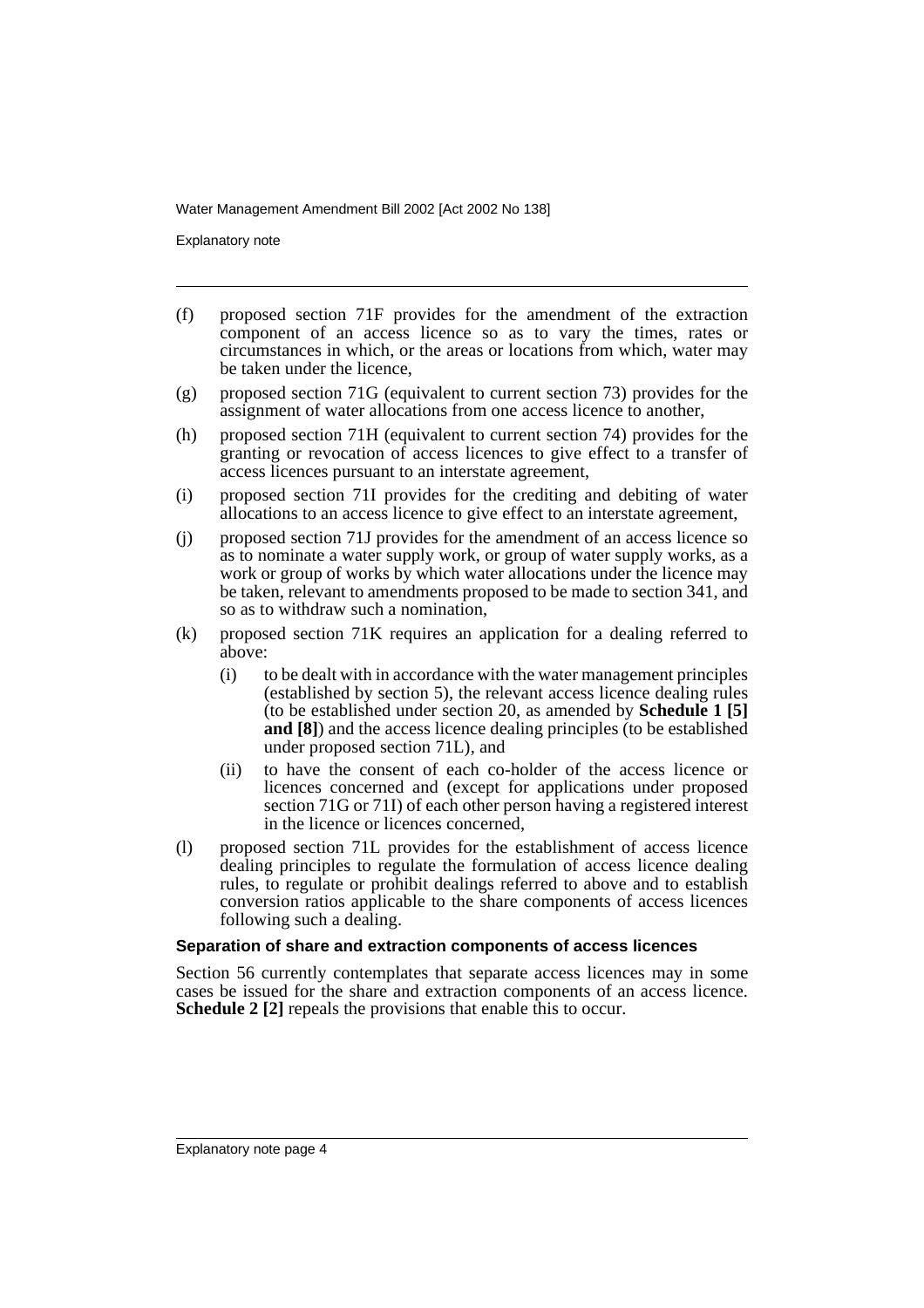Explanatory note

- (f) proposed section 71F provides for the amendment of the extraction component of an access licence so as to vary the times, rates or circumstances in which, or the areas or locations from which, water may be taken under the licence,
- (g) proposed section 71G (equivalent to current section 73) provides for the assignment of water allocations from one access licence to another,
- (h) proposed section 71H (equivalent to current section 74) provides for the granting or revocation of access licences to give effect to a transfer of access licences pursuant to an interstate agreement,
- (i) proposed section 71I provides for the crediting and debiting of water allocations to an access licence to give effect to an interstate agreement,
- (j) proposed section 71J provides for the amendment of an access licence so as to nominate a water supply work, or group of water supply works, as a work or group of works by which water allocations under the licence may be taken, relevant to amendments proposed to be made to section 341, and so as to withdraw such a nomination,
- (k) proposed section 71K requires an application for a dealing referred to above:
	- (i) to be dealt with in accordance with the water management principles (established by section 5), the relevant access licence dealing rules (to be established under section 20, as amended by **Schedule 1 [5] and [8]**) and the access licence dealing principles (to be established under proposed section 71L), and
	- (ii) to have the consent of each co-holder of the access licence or licences concerned and (except for applications under proposed section 71G or 71I) of each other person having a registered interest in the licence or licences concerned,
- (l) proposed section 71L provides for the establishment of access licence dealing principles to regulate the formulation of access licence dealing rules, to regulate or prohibit dealings referred to above and to establish conversion ratios applicable to the share components of access licences following such a dealing.

### **Separation of share and extraction components of access licences**

Section 56 currently contemplates that separate access licences may in some cases be issued for the share and extraction components of an access licence. **Schedule 2 [2]** repeals the provisions that enable this to occur.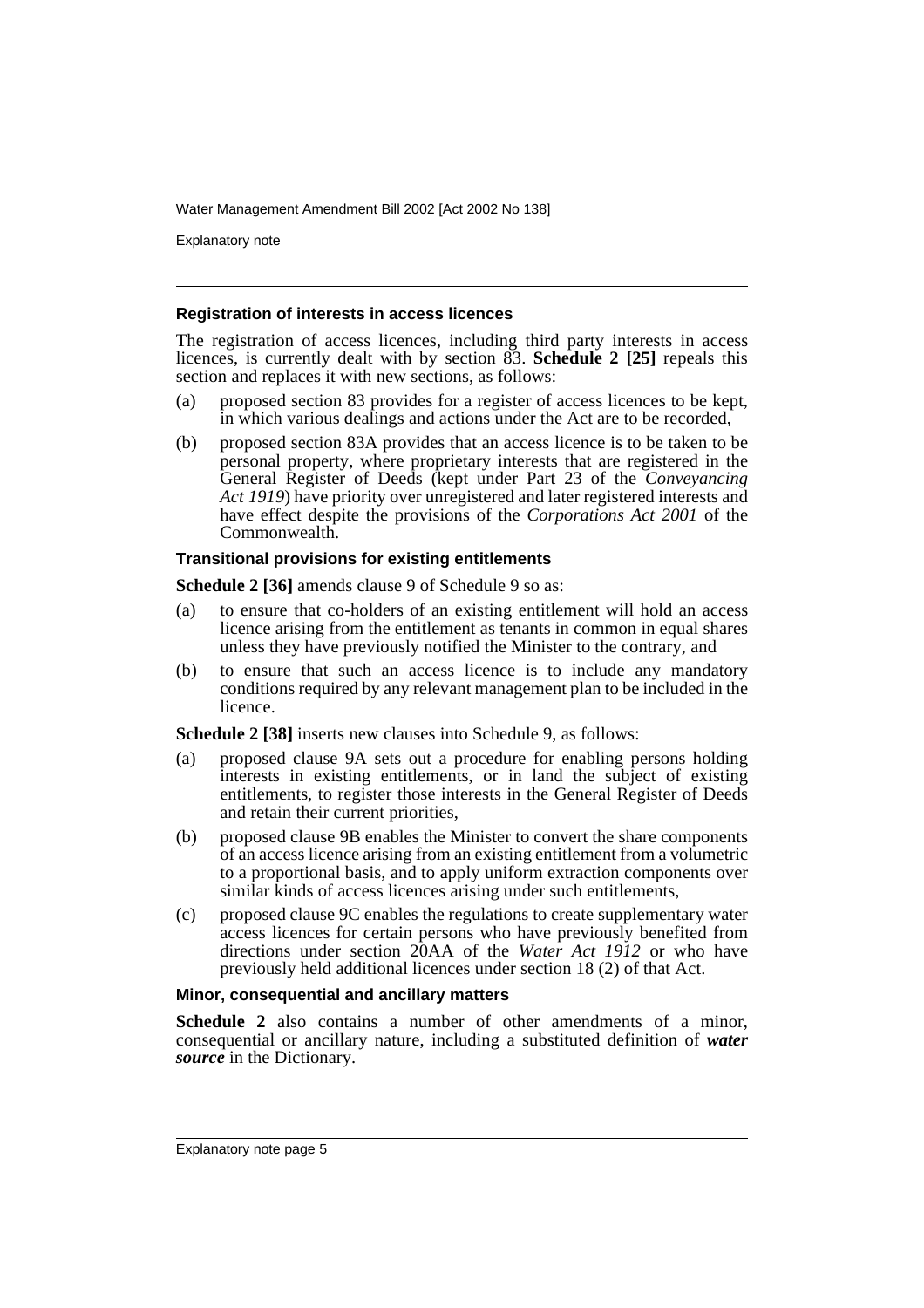Explanatory note

### **Registration of interests in access licences**

The registration of access licences, including third party interests in access licences, is currently dealt with by section 83. **Schedule 2 [25]** repeals this section and replaces it with new sections, as follows:

- (a) proposed section 83 provides for a register of access licences to be kept, in which various dealings and actions under the Act are to be recorded,
- (b) proposed section 83A provides that an access licence is to be taken to be personal property, where proprietary interests that are registered in the General Register of Deeds (kept under Part 23 of the *Conveyancing Act 1919*) have priority over unregistered and later registered interests and have effect despite the provisions of the *Corporations Act 2001* of the Commonwealth.

### **Transitional provisions for existing entitlements**

**Schedule 2 [36]** amends clause 9 of Schedule 9 so as:

- (a) to ensure that co-holders of an existing entitlement will hold an access licence arising from the entitlement as tenants in common in equal shares unless they have previously notified the Minister to the contrary, and
- (b) to ensure that such an access licence is to include any mandatory conditions required by any relevant management plan to be included in the licence.

**Schedule 2 [38]** inserts new clauses into Schedule 9, as follows:

- (a) proposed clause 9A sets out a procedure for enabling persons holding interests in existing entitlements, or in land the subject of existing entitlements, to register those interests in the General Register of Deeds and retain their current priorities,
- (b) proposed clause 9B enables the Minister to convert the share components of an access licence arising from an existing entitlement from a volumetric to a proportional basis, and to apply uniform extraction components over similar kinds of access licences arising under such entitlements,
- (c) proposed clause 9C enables the regulations to create supplementary water access licences for certain persons who have previously benefited from directions under section 20AA of the *Water Act 1912* or who have previously held additional licences under section 18 (2) of that Act.

#### **Minor, consequential and ancillary matters**

**Schedule 2** also contains a number of other amendments of a minor, consequential or ancillary nature, including a substituted definition of *water source* in the Dictionary.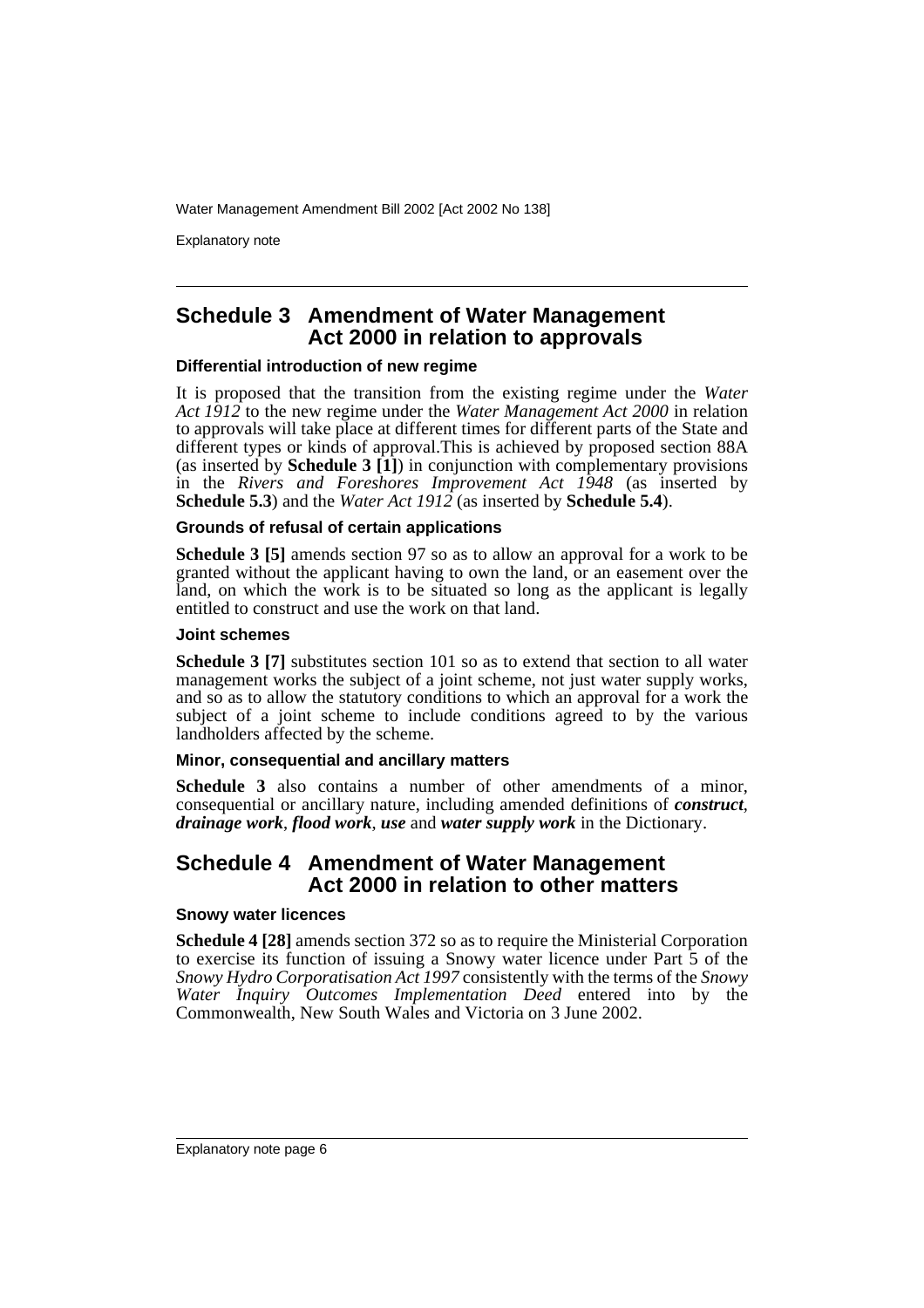Explanatory note

### **Schedule 3 Amendment of Water Management Act 2000 in relation to approvals**

### **Differential introduction of new regime**

It is proposed that the transition from the existing regime under the *Water Act 1912* to the new regime under the *Water Management Act 2000* in relation to approvals will take place at different times for different parts of the State and different types or kinds of approval.This is achieved by proposed section 88A (as inserted by **Schedule 3 [1]**) in conjunction with complementary provisions in the *Rivers and Foreshores Improvement Act 1948* (as inserted by **Schedule 5.3**) and the *Water Act 1912* (as inserted by **Schedule 5.4**).

### **Grounds of refusal of certain applications**

**Schedule 3 [5]** amends section 97 so as to allow an approval for a work to be granted without the applicant having to own the land, or an easement over the land, on which the work is to be situated so long as the applicant is legally entitled to construct and use the work on that land.

### **Joint schemes**

**Schedule 3 [7]** substitutes section 101 so as to extend that section to all water management works the subject of a joint scheme, not just water supply works, and so as to allow the statutory conditions to which an approval for a work the subject of a joint scheme to include conditions agreed to by the various landholders affected by the scheme.

### **Minor, consequential and ancillary matters**

**Schedule 3** also contains a number of other amendments of a minor, consequential or ancillary nature, including amended definitions of *construct*, *drainage work*, *flood work*, *use* and *water supply work* in the Dictionary.

### **Schedule 4 Amendment of Water Management Act 2000 in relation to other matters**

#### **Snowy water licences**

**Schedule 4 [28]** amends section 372 so as to require the Ministerial Corporation to exercise its function of issuing a Snowy water licence under Part 5 of the *Snowy Hydro Corporatisation Act 1997* consistently with the terms of the *Snowy Water Inquiry Outcomes Implementation Deed* entered into by the Commonwealth, New South Wales and Victoria on 3 June 2002.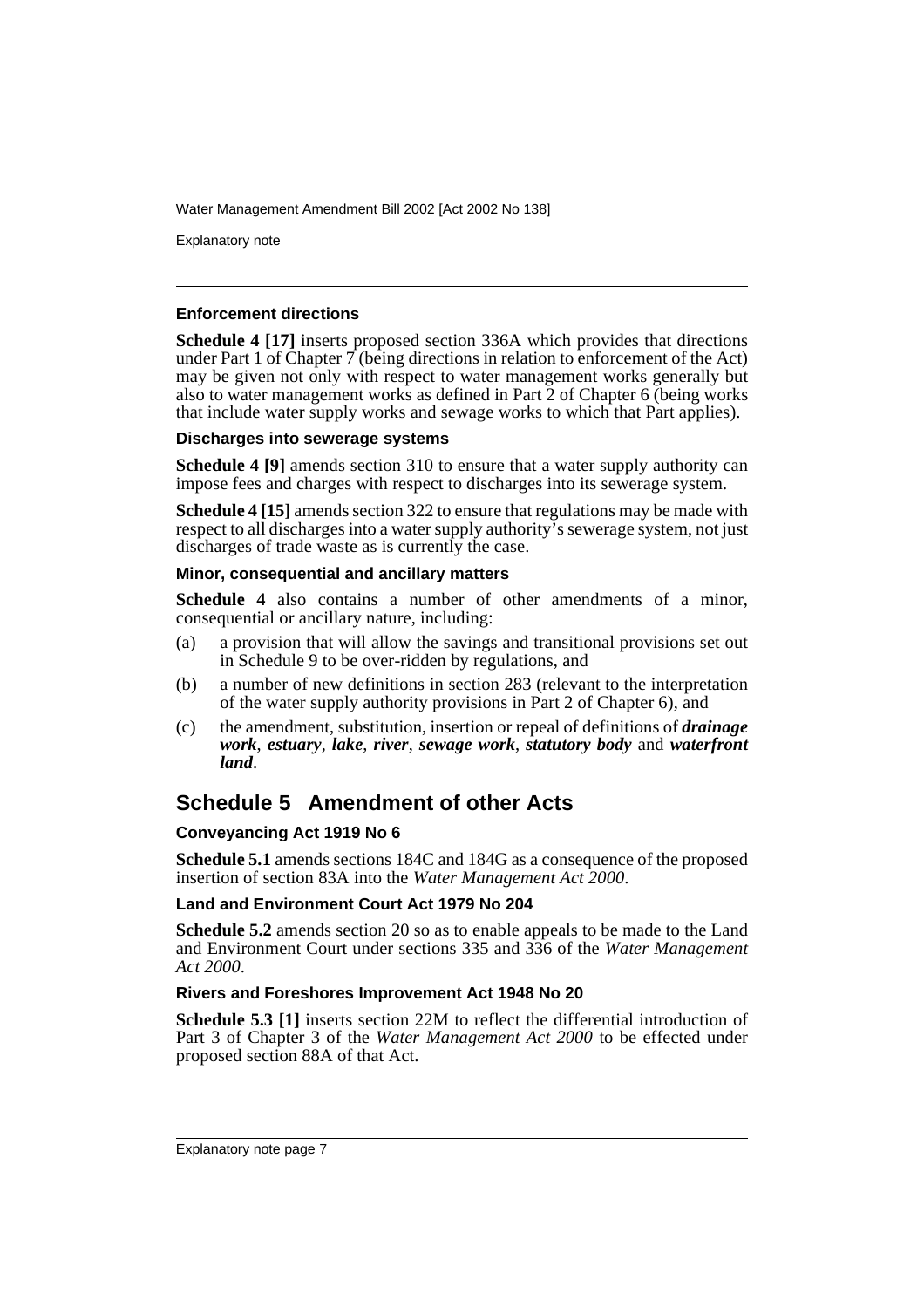Explanatory note

### **Enforcement directions**

**Schedule 4 [17]** inserts proposed section 336A which provides that directions under Part 1 of Chapter  $\overline{7}$  (being directions in relation to enforcement of the Act) may be given not only with respect to water management works generally but also to water management works as defined in Part 2 of Chapter 6 (being works that include water supply works and sewage works to which that Part applies).

### **Discharges into sewerage systems**

**Schedule 4 [9]** amends section 310 to ensure that a water supply authority can impose fees and charges with respect to discharges into its sewerage system.

**Schedule 4 [15]** amends section 322 to ensure that regulations may be made with respect to all discharges into a water supply authority's sewerage system, not just discharges of trade waste as is currently the case.

### **Minor, consequential and ancillary matters**

**Schedule 4** also contains a number of other amendments of a minor, consequential or ancillary nature, including:

- (a) a provision that will allow the savings and transitional provisions set out in Schedule 9 to be over-ridden by regulations, and
- (b) a number of new definitions in section 283 (relevant to the interpretation of the water supply authority provisions in Part 2 of Chapter 6), and
- (c) the amendment, substitution, insertion or repeal of definitions of *drainage work*, *estuary*, *lake*, *river*, *sewage work*, *statutory body* and *waterfront land*.

# **Schedule 5 Amendment of other Acts**

### **Conveyancing Act 1919 No 6**

**Schedule 5.1** amends sections 184C and 184G as a consequence of the proposed insertion of section 83A into the *Water Management Act 2000*.

### **Land and Environment Court Act 1979 No 204**

**Schedule 5.2** amends section 20 so as to enable appeals to be made to the Land and Environment Court under sections 335 and 336 of the *Water Management Act 2000*.

### **Rivers and Foreshores Improvement Act 1948 No 20**

**Schedule 5.3 [1]** inserts section 22M to reflect the differential introduction of Part 3 of Chapter 3 of the *Water Management Act 2000* to be effected under proposed section 88A of that Act.